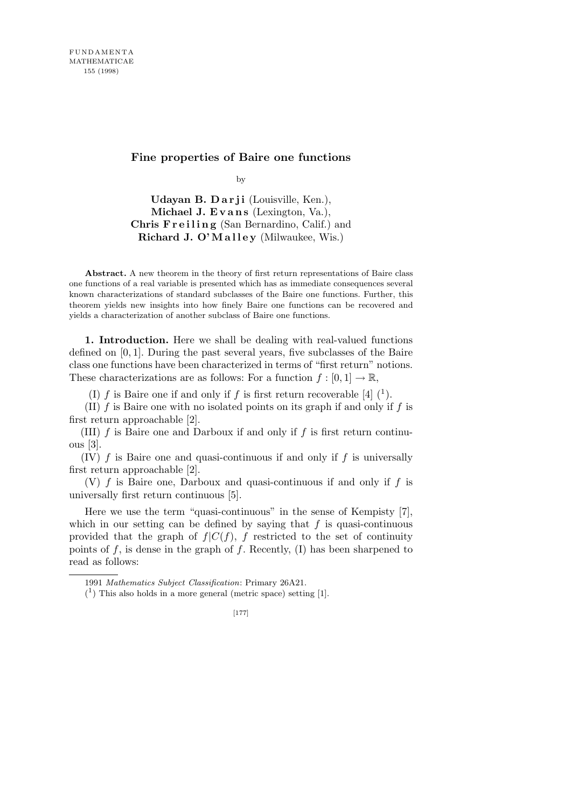## **Fine properties of Baire one functions**

by

**Udayan B. Darji** (Louisville, Ken.), **Michael J. Evans** (Lexington, Va.), **Chris Freiling** (San Bernardino, Calif.) and **Richard J. O'Malley** (Milwaukee, Wis.)

**Abstract.** A new theorem in the theory of first return representations of Baire class one functions of a real variable is presented which has as immediate consequences several known characterizations of standard subclasses of the Baire one functions. Further, this theorem yields new insights into how finely Baire one functions can be recovered and yields a characterization of another subclass of Baire one functions.

**1. Introduction.** Here we shall be dealing with real-valued functions defined on [0*,* 1]. During the past several years, five subclasses of the Baire class one functions have been characterized in terms of "first return" notions. These characterizations are as follows: For a function  $f : [0, 1] \to \mathbb{R}$ ,

(I)  $f$  is Baire one if and only if  $f$  is first return recoverable [4]  $(1)$ .

(II) *f* is Baire one with no isolated points on its graph if and only if *f* is first return approachable [2].

(III) *f* is Baire one and Darboux if and only if *f* is first return continuous [3].

(IV) *f* is Baire one and quasi-continuous if and only if *f* is universally first return approachable [2].

(V) *f* is Baire one, Darboux and quasi-continuous if and only if *f* is universally first return continuous [5].

Here we use the term "quasi-continuous" in the sense of Kempisty [7], which in our setting can be defined by saying that *f* is quasi-continuous provided that the graph of  $f|C(f)$ ,  $f$  restricted to the set of continuity points of *f*, is dense in the graph of *f*. Recently, (I) has been sharpened to read as follows:

<sup>1991</sup> *Mathematics Subject Classification*: Primary 26A21.

 $(1)$  This also holds in a more general (metric space) setting [1].

<sup>[177]</sup>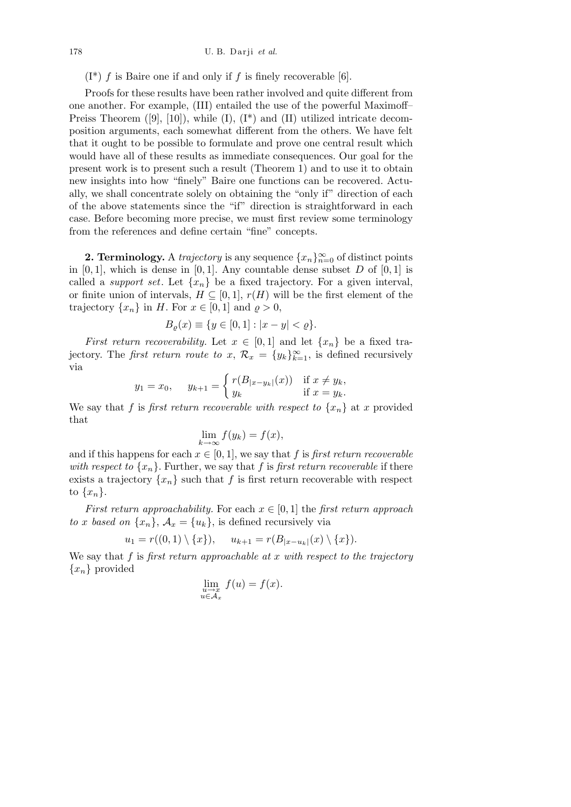$(I^*)$  *f* is Baire one if and only if *f* is finely recoverable [6].

Proofs for these results have been rather involved and quite different from one another. For example, (III) entailed the use of the powerful Maximoff– Preiss Theorem  $([9], [10])$ , while  $(I), (I^*)$  and  $(II)$  utilized intricate decomposition arguments, each somewhat different from the others. We have felt that it ought to be possible to formulate and prove one central result which would have all of these results as immediate consequences. Our goal for the present work is to present such a result (Theorem 1) and to use it to obtain new insights into how "finely" Baire one functions can be recovered. Actually, we shall concentrate solely on obtaining the "only if" direction of each of the above statements since the "if" direction is straightforward in each case. Before becoming more precise, we must first review some terminology from the references and define certain "fine" concepts.

**2. Terminology.** A *trajectory* is any sequence  $\{x_n\}_{n=0}^{\infty}$  of distinct points in  $[0,1]$ , which is dense in  $[0,1]$ . Any countable dense subset *D* of  $[0,1]$  is called a *support set*. Let  $\{x_n\}$  be a fixed trajectory. For a given interval, or finite union of intervals,  $H \subseteq [0,1]$ ,  $r(H)$  will be the first element of the trajectory  $\{x_n\}$  in *H*. For  $x \in [0,1]$  and  $\rho > 0$ ,

$$
B_{\varrho}(x) \equiv \{ y \in [0, 1] : |x - y| < \varrho \}.
$$

*First return recoverability.* Let  $x \in [0,1]$  and let  $\{x_n\}$  be a fixed trajectory. The *first return route to x*,  $\mathcal{R}_x = \{y_k\}_{k=1}^\infty$ , is defined recursively via  $\overline{\phantom{a}}$ 

$$
y_1 = x_0
$$
,  $y_{k+1} = \begin{cases} r(B_{|x-y_k|}(x)) & \text{if } x \neq y_k, \\ y_k & \text{if } x = y_k. \end{cases}$ 

We say that *f* is *first return recoverable with respect to*  $\{x_n\}$  at *x* provided that

$$
\lim_{k \to \infty} f(y_k) = f(x),
$$

and if this happens for each  $x \in [0, 1]$ , we say that f is first return recoverable *with respect to*  $\{x_n\}$ . Further, we say that f is first return recoverable if there exists a trajectory  $\{x_n\}$  such that f is first return recoverable with respect to  $\{x_n\}$ .

*First return approachability.* For each  $x \in [0, 1]$  the *first return approach to x based on*  $\{x_n\}$ ,  $A_x = \{u_k\}$ , is defined recursively via

$$
u_1 = r((0,1) \setminus \{x\}), \quad u_{k+1} = r(B_{|x-u_k|}(x) \setminus \{x\}).
$$

We say that *f* is *first return approachable at x with respect to the trajectory {xn}* provided

$$
\lim_{\substack{u \to x \\ u \in \mathcal{A}_x}} f(u) = f(x).
$$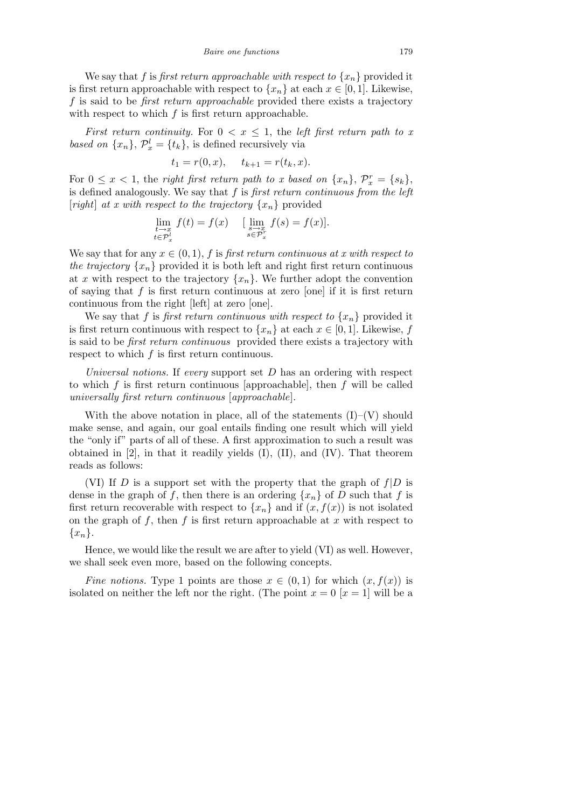We say that *f* is *first return approachable with respect to*  $\{x_n\}$  provided it is first return approachable with respect to  $\{x_n\}$  at each  $x \in [0, 1]$ . Likewise, *f* is said to be *first return approachable* provided there exists a trajectory with respect to which *f* is first return approachable.

*First return continuity.* For  $0 < x \leq 1$ , the *left first return path to x based on*  $\{x_n\}$ ,  $\mathcal{P}_x^l = \{t_k\}$ , is defined recursively via

$$
t_1 = r(0, x), \quad t_{k+1} = r(t_k, x).
$$

For  $0 \leq x < 1$ , the *right first return path to x based on*  $\{x_n\}$ ,  $\mathcal{P}_x^r = \{s_k\}$ , is defined analogously. We say that *f* is *first return continuous from the left* [*right*] *at x with respect to the trajectory*  $\{x_n\}$  provided

$$
\lim_{\substack{t \to x \\ t \in \mathcal{P}_x^l}} f(t) = f(x) \quad [\lim_{\substack{s \to x \\ s \in \mathcal{P}_x^r}} f(s) = f(x)].
$$

We say that for any  $x \in (0,1)$ ,  $f$  is *first return continuous at x with respect to the trajectory*  $\{x_n\}$  provided it is both left and right first return continuous at *x* with respect to the trajectory  ${x_n}$ . We further adopt the convention of saying that *f* is first return continuous at zero [one] if it is first return continuous from the right [left] at zero [one].

We say that f is first return continuous with respect to  $\{x_n\}$  provided it is first return continuous with respect to  $\{x_n\}$  at each  $x \in [0,1]$ . Likewise, *f* is said to be *first return continuous* provided there exists a trajectory with respect to which *f* is first return continuous.

*Universal notions.* If *every* support set *D* has an ordering with respect to which *f* is first return continuous [approachable], then *f* will be called *universally first return continuous* [*approachable*].

With the above notation in place, all of the statements  $(I)$ – $(V)$  should make sense, and again, our goal entails finding one result which will yield the "only if" parts of all of these. A first approximation to such a result was obtained in  $[2]$ , in that it readily yields  $(I)$ ,  $(II)$ , and  $(IV)$ . That theorem reads as follows:

(VI) If *D* is a support set with the property that the graph of *f|D* is dense in the graph of f, then there is an ordering  $\{x_n\}$  of D such that f is first return recoverable with respect to  $\{x_n\}$  and if  $(x, f(x))$  is not isolated on the graph of *f*, then *f* is first return approachable at *x* with respect to *{xn}*.

Hence, we would like the result we are after to yield (VI) as well. However, we shall seek even more, based on the following concepts.

*Fine notions.* Type 1 points are those  $x \in (0,1)$  for which  $(x, f(x))$  is isolated on neither the left nor the right. (The point  $x = 0$  [ $x = 1$ ] will be a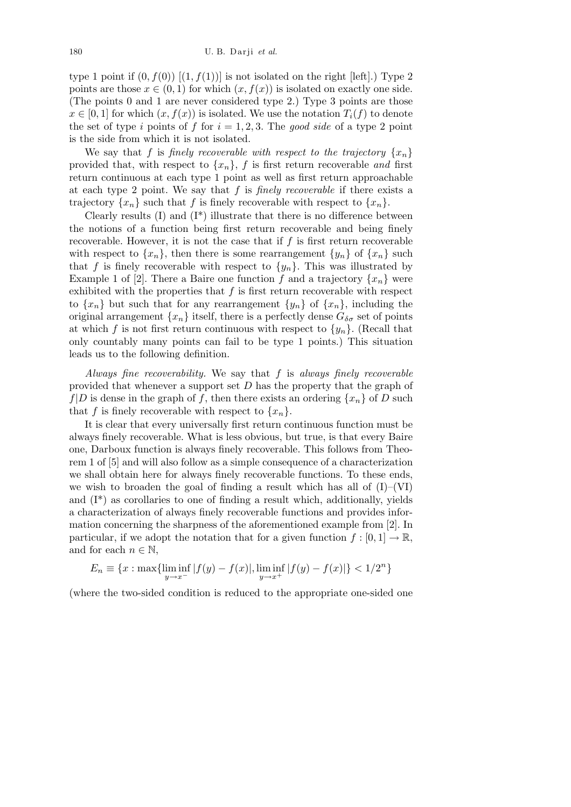type 1 point if  $(0, f(0))$   $[(1, f(1))]$  is not isolated on the right [left].) Type 2 points are those  $x \in (0,1)$  for which  $(x, f(x))$  is isolated on exactly one side. (The points 0 and 1 are never considered type 2.) Type 3 points are those  $x \in [0, 1]$  for which  $(x, f(x))$  is isolated. We use the notation  $T_i(f)$  to denote the set of type *i* points of *f* for  $i = 1, 2, 3$ . The *good side* of a type 2 point is the side from which it is not isolated.

We say that *f* is *finely recoverable with respect to the trajectory*  $\{x_n\}$ provided that, with respect to  $\{x_n\}$ ,  $f$  is first return recoverable *and* first return continuous at each type 1 point as well as first return approachable at each type 2 point. We say that *f* is *finely recoverable* if there exists a trajectory  $\{x_n\}$  such that *f* is finely recoverable with respect to  $\{x_n\}$ .

Clearly results  $(I)$  and  $(I^*)$  illustrate that there is no difference between the notions of a function being first return recoverable and being finely recoverable. However, it is not the case that if *f* is first return recoverable with respect to  $\{x_n\}$ , then there is some rearrangement  $\{y_n\}$  of  $\{x_n\}$  such that *f* is finely recoverable with respect to  $\{y_n\}$ . This was illustrated by Example 1 of [2]. There a Baire one function f and a trajectory  $\{x_n\}$  were exhibited with the properties that  $f$  is first return recoverable with respect to  $\{x_n\}$  but such that for any rearrangement  $\{y_n\}$  of  $\{x_n\}$ , including the original arrangement  $\{x_n\}$  itself, there is a perfectly dense  $G_{\delta\sigma}$  set of points at which *f* is not first return continuous with respect to  $\{y_n\}$ . (Recall that only countably many points can fail to be type 1 points.) This situation leads us to the following definition.

*Always fine recoverability.* We say that *f* is *always finely recoverable* provided that whenever a support set *D* has the property that the graph of  $f|D$  is dense in the graph of f, then there exists an ordering  $\{x_n\}$  of D such that *f* is finely recoverable with respect to  $\{x_n\}$ .

It is clear that every universally first return continuous function must be always finely recoverable. What is less obvious, but true, is that every Baire one, Darboux function is always finely recoverable. This follows from Theorem 1 of [5] and will also follow as a simple consequence of a characterization we shall obtain here for always finely recoverable functions. To these ends, we wish to broaden the goal of finding a result which has all of  $(I)$ – $(VI)$ and  $(I^*)$  as corollaries to one of finding a result which, additionally, yields a characterization of always finely recoverable functions and provides information concerning the sharpness of the aforementioned example from [2]. In particular, if we adopt the notation that for a given function  $f : [0,1] \to \mathbb{R}$ , and for each  $n \in \mathbb{N}$ ,

$$
E_n \equiv \{x : \max\{\liminf_{y \to x^-} |f(y) - f(x)|, \liminf_{y \to x^+} |f(y) - f(x)|\} < 1/2^n\}
$$

(where the two-sided condition is reduced to the appropriate one-sided one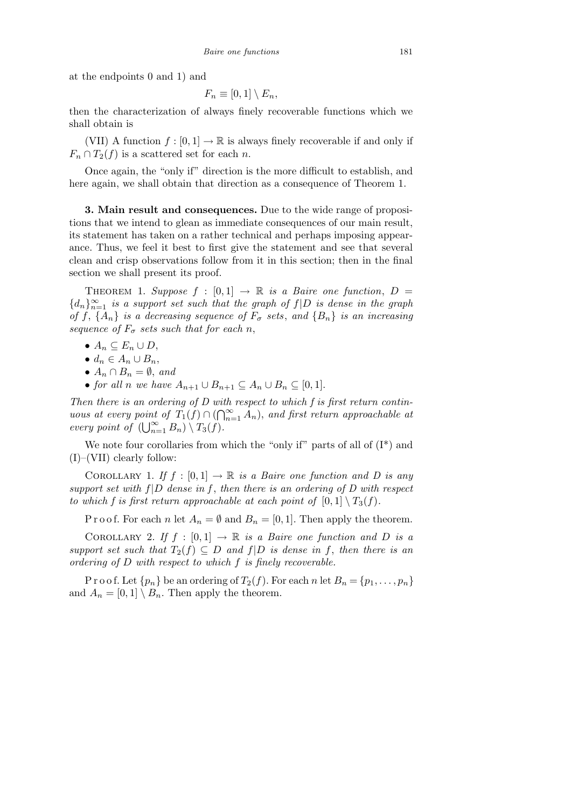at the endpoints 0 and 1) and

$$
F_n \equiv [0,1] \setminus E_n,
$$

then the characterization of always finely recoverable functions which we shall obtain is

(VII) A function  $f : [0, 1] \to \mathbb{R}$  is always finely recoverable if and only if  $F_n \cap T_2(f)$  is a scattered set for each *n*.

Once again, the "only if" direction is the more difficult to establish, and here again, we shall obtain that direction as a consequence of Theorem 1.

**3. Main result and consequences.** Due to the wide range of propositions that we intend to glean as immediate consequences of our main result, its statement has taken on a rather technical and perhaps imposing appearance. Thus, we feel it best to first give the statement and see that several clean and crisp observations follow from it in this section; then in the final section we shall present its proof.

THEOREM 1. Suppose  $f : [0,1] \rightarrow \mathbb{R}$  is a Baire one function,  $D =$  ${d_n}_{n=1}^{\infty}$  *is a support set such that the graph of*  $f|D$  *is dense in the graph of*  $f$ ,  $\{A_n\}$  *is a decreasing sequence of*  $F_{\sigma}$  *sets*, and  $\{B_n\}$  *is an increasing sequence of*  $F_{\sigma}$  *sets such that for each n*,

- $A_n \subseteq E_n \cup D$ ,
- $d_n \in A_n \cup B_n$ ,
- $A_n \cap B_n = \emptyset$ , *and*
- *• for all n we have*  $A_{n+1}$  *∪*  $B_{n+1}$   $\subseteq$   $A_n$  *∪*  $B_n$   $\subseteq$  [0*,* 1]*.*

*Then there is an ordering of D with respect to which f is first return continuous at every point of*  $T_1(f) \cap (\bigcap_{n=1}^{\infty} T_n(f))$  $\sum_{n=1}^{\infty} A_n$ ), *and first return approachable at every point of*  $(\bigcup_{n=1}^{\infty}$  $\sum_{n=1}^{\infty} B_n$ )  $\setminus T_3(f)$ .

We note four corollaries from which the "only if" parts of all of  $(I^*)$  and (I)–(VII) clearly follow:

COROLLARY 1. If  $f : [0,1] \to \mathbb{R}$  is a Baire one function and D is any *support set with f|D dense in f* , *then there is an ordering of D with respect to which f is first return approachable at each point of*  $[0,1] \setminus T_3(f)$ .

P r o o f. For each *n* let  $A_n = \emptyset$  and  $B_n = [0, 1]$ . Then apply the theorem.

COROLLARY 2. If  $f : [0, 1] \rightarrow \mathbb{R}$  is a Baire one function and D is a *support set such that*  $T_2(f) \subseteq D$  *and*  $f|D$  *is dense in*  $f$ *, then there is an ordering of D with respect to which f is finely recoverable.*

P r o o f. Let  $\{p_n\}$  be an ordering of  $T_2(f)$ . For each *n* let  $B_n = \{p_1, \ldots, p_n\}$ and  $A_n = [0,1] \setminus B_n$ . Then apply the theorem.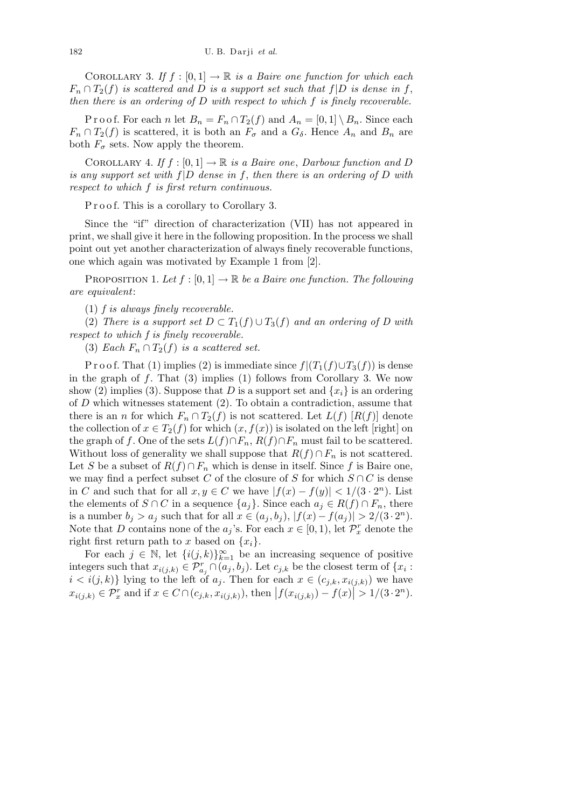COROLLARY 3. If  $f : [0,1] \to \mathbb{R}$  is a Baire one function for which each  $F_n \cap T_2(f)$  *is scattered and D is a support set such that*  $f|D$  *is dense in*  $f$ , *then there is an ordering of D with respect to which f is finely recoverable.*

P r o o f. For each *n* let  $B_n = F_n \cap T_2(f)$  and  $A_n = [0,1] \setminus B_n$ . Since each  $F_n \cap T_2(f)$  is scattered, it is both an  $F_\sigma$  and a  $G_\delta$ . Hence  $A_n$  and  $B_n$  are both  $F_{\sigma}$  sets. Now apply the theorem.

COROLLARY 4. If  $f : [0, 1] \to \mathbb{R}$  is a Baire one, Darboux function and D *is any support set with f|D dense in f*, *then there is an ordering of D with respect to which f is first return continuous.*

P r o o f. This is a corollary to Corollary 3.

Since the "if" direction of characterization (VII) has not appeared in print, we shall give it here in the following proposition. In the process we shall point out yet another characterization of always finely recoverable functions, one which again was motivated by Example 1 from [2].

PROPOSITION 1. Let  $f : [0, 1] \rightarrow \mathbb{R}$  be a Baire one function. The following *are equivalent*:

(1) *f is always finely recoverable.*

(2) *There is a support set*  $D \subset T_1(f) \cup T_3(f)$  *and an ordering of D with respect to which f is finely recoverable.*

(3) *Each*  $F_n \cap T_2(f)$  *is a scattered set.* 

P r o o f. That (1) implies (2) is immediate since  $f|(T_1(f) \cup T_3(f))$  is dense in the graph of *f*. That (3) implies (1) follows from Corollary 3. We now show (2) implies (3). Suppose that *D* is a support set and  $\{x_i\}$  is an ordering of *D* which witnesses statement (2). To obtain a contradiction, assume that there is an *n* for which  $F_n \cap T_2(f)$  is not scattered. Let  $L(f) [R(f)]$  denote the collection of  $x \in T_2(f)$  for which  $(x, f(x))$  is isolated on the left [right] on the graph of *f*. One of the sets  $L(f) \cap F_n$ ,  $R(f) \cap F_n$  must fail to be scattered. Without loss of generality we shall suppose that  $R(f) \cap F_n$  is not scattered. Let *S* be a subset of  $R(f) \cap F_n$  which is dense in itself. Since *f* is Baire one, we may find a perfect subset *C* of the closure of *S* for which  $S \cap C$  is dense in *C* and such that for all  $x, y \in C$  we have  $|f(x) - f(y)| < 1/(3 \cdot 2^n)$ . List the elements of *S*  $\cap$  *C* in a sequence  $\{a_j\}$ . Since each  $a_j \in R(f) \cap F_n$ , there is a number  $b_j > a_j$  such that for all  $x \in (a_j, b_j), |f(x) - f(a_j)| > 2/(3 \cdot 2^n)$ . Note that *D* contains none of the  $a_j$ 's. For each  $x \in [0, 1)$ , let  $\mathcal{P}_x^r$  denote the right first return path to *x* based on  $\{x_i\}$ .

For each  $j \in \mathbb{N}$ , let  $\{i(j,k)\}_{k=1}^{\infty}$  be an increasing sequence of positive integers such that  $x_{i(j,k)} \in \mathcal{P}_{a_j}^r \cap (a_j, b_j)$ . Let  $c_{j,k}$  be the closest term of  $\{x_i :$  $i < i(j, k)$ } lying to the left of *a<sub>j</sub>*. Then for each  $x \in (c_{j,k}, x_{i(j,k)})$  we have  $x_{i(j,k)} \in \mathcal{P}_x^r$  and if  $x \in C \cap (c_{j,k}, x_{i(j,k)})$ , then  $|f(x_{i(j,k)}) - f(x)| > 1/(3 \cdot 2^n)$ .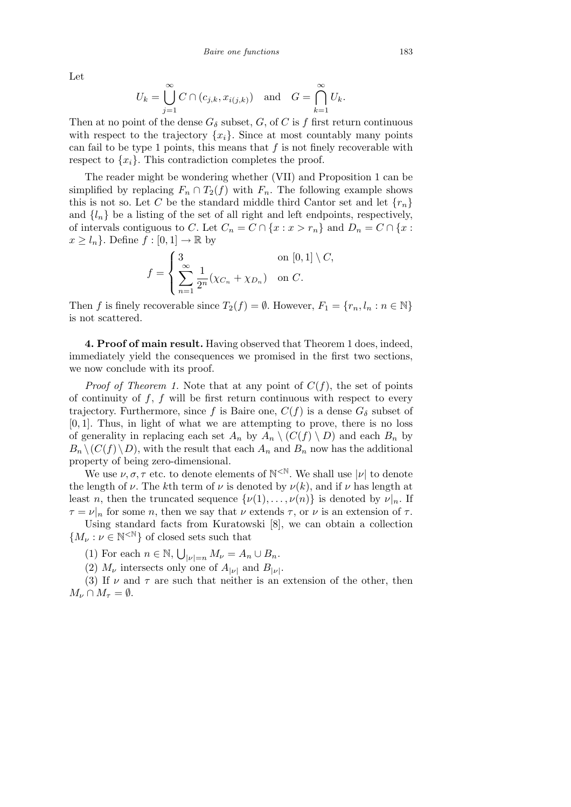Let

$$
U_k = \bigcup_{j=1}^{\infty} C \cap (c_{j,k}, x_{i(j,k)}) \text{ and } G = \bigcap_{k=1}^{\infty} U_k.
$$

Then at no point of the dense  $G_{\delta}$  subset, *G*, of *C* is *f* first return continuous with respect to the trajectory  $\{x_i\}$ . Since at most countably many points can fail to be type 1 points, this means that  $f$  is not finely recoverable with respect to  $\{x_i\}$ . This contradiction completes the proof.

The reader might be wondering whether (VII) and Proposition 1 can be simplified by replacing  $F_n \cap T_2(f)$  with  $F_n$ . The following example shows this is not so. Let *C* be the standard middle third Cantor set and let  $\{r_n\}$ and  $\{l_n\}$  be a listing of the set of all right and left endpoints, respectively, of intervals contiguous to *C*. Let  $C_n = C \cap \{x : x > r_n\}$  and  $D_n = C \cap \{x : x \geq r_n\}$  $x \geq l_n$ . Define  $f : [0, 1] \to \mathbb{R}$  by

$$
f = \begin{cases} 3 & \text{on } [0,1] \setminus C, \\ \sum_{n=1}^{\infty} \frac{1}{2^n} (\chi_{C_n} + \chi_{D_n}) & \text{on } C. \end{cases}
$$

Then *f* is finely recoverable since  $T_2(f) = \emptyset$ . However,  $F_1 = \{r_n, l_n : n \in \mathbb{N}\}\$ is not scattered.

**4. Proof of main result.** Having observed that Theorem 1 does, indeed, immediately yield the consequences we promised in the first two sections, we now conclude with its proof.

*Proof of Theorem 1.* Note that at any point of  $C(f)$ , the set of points of continuity of *f*, *f* will be first return continuous with respect to every trajectory. Furthermore, since f is Baire one,  $C(f)$  is a dense  $G_{\delta}$  subset of [0*,* 1]. Thus, in light of what we are attempting to prove, there is no loss of generality in replacing each set  $A_n$  by  $A_n \setminus (C(f) \setminus D)$  and each  $B_n$  by  $B_n \setminus (C(f) \setminus D)$ , with the result that each  $A_n$  and  $B_n$  now has the additional property of being zero-dimensional.

We use  $\nu, \sigma, \tau$  etc. to denote elements of  $\mathbb{N}^{\leq \mathbb{N}}$ . We shall use  $|\nu|$  to denote the length of  $\nu$ . The *k*th term of  $\nu$  is denoted by  $\nu(k)$ , and if  $\nu$  has length at least *n*, then the truncated sequence  $\{\nu(1), \ldots, \nu(n)\}\$ is denoted by  $\nu|_n$ . If  $\tau = \nu|_n$  for some *n*, then we say that  $\nu$  extends  $\tau$ , or  $\nu$  is an extension of  $\tau$ .

Using standard facts from Kuratowski [8], we can obtain a collection  ${M_{\nu}: \nu \in \mathbb{N}^{\leq \mathbb{N}}\}$  of closed sets such that

(1) For each  $n \in \mathbb{N}$ , S  $|v|=n$   $M_{\nu}=A_n\cup B_n.$ 

(2)  $M_{\nu}$  intersects only one of  $A_{|\nu|}$  and  $B_{|\nu|}$ .

(3) If  $\nu$  and  $\tau$  are such that neither is an extension of the other, then  $M_{\nu} \cap M_{\tau} = \emptyset.$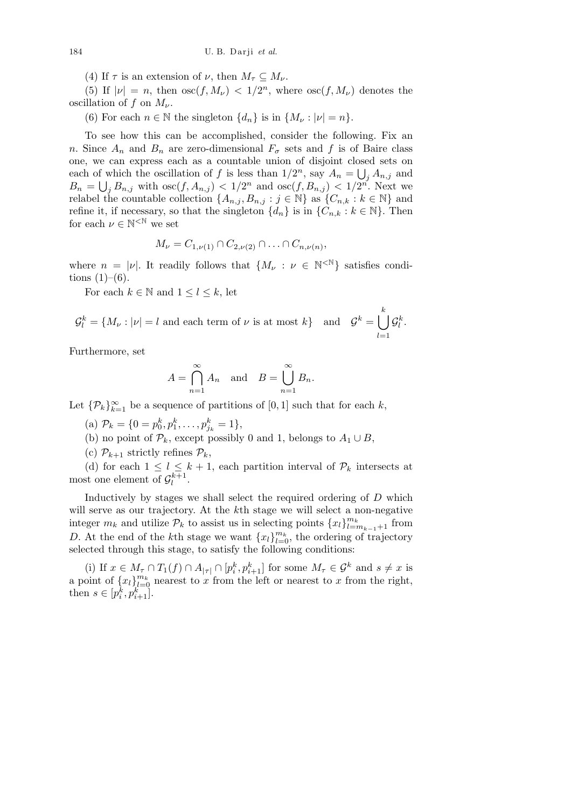(4) If  $\tau$  is an extension of  $\nu$ , then  $M_{\tau} \subseteq M_{\nu}$ .

(5) If  $|\nu| = n$ , then  $\operatorname{osc}(f, M_{\nu}) < 1/2^n$ , where  $\operatorname{osc}(f, M_{\nu})$  denotes the oscillation of  $f$  on  $M_{\nu}$ .

(6) For each  $n \in \mathbb{N}$  the singleton  $\{d_n\}$  is in  $\{M_\nu : |\nu| = n\}$ .

To see how this can be accomplished, consider the following. Fix an *n*. Since  $A_n$  and  $B_n$  are zero-dimensional  $F_\sigma$  sets and f is of Baire class one, we can express each as a countable union of disjoint closed sets on each of which the oscillation of *f* is less than  $1/2^n$ , say  $A_n = \bigcup_j A_{n,j}$  and  $B_n = \bigcup_j B_{n,j}$  with  $\operatorname{osc}(f, A_{n,j}) < 1/2^n$  and  $\operatorname{osc}(f, B_{n,j}) < 1/2^{n'}$ . Next we relabel the countable collection  $\{A_{n,j}, B_{n,j} : j \in \mathbb{N}\}\$ as  $\{C_{n,k} : k \in \mathbb{N}\}\$ and refine it, if necessary, so that the singleton  $\{d_n\}$  is in  $\{C_{n,k}: k \in \mathbb{N}\}$ . Then for each  $\nu \in \mathbb{N}^{\leq \mathbb{N}}$  we set

$$
M_{\nu} = C_{1,\nu(1)} \cap C_{2,\nu(2)} \cap \ldots \cap C_{n,\nu(n)},
$$

where  $n = |\nu|$ . It readily follows that  $\{M_{\nu} : \nu \in \mathbb{N}^{\leq N}\}\$  satisfies conditions  $(1)–(6)$ .

For each  $k \in \mathbb{N}$  and  $1 \leq l \leq k$ , let

 $\mathcal{G}_l^k = \{M_\nu : |\nu| = l \text{ and each term of } \nu \text{ is at most } k\}$  and  $\mathcal{G}^k =$ [ *k l*=1  $\mathcal{G}_l^k$  .

Furthermore, set

$$
A = \bigcap_{n=1}^{\infty} A_n \quad \text{and} \quad B = \bigcup_{n=1}^{\infty} B_n.
$$

Let  $\{\mathcal{P}_k\}_{k=1}^{\infty}$  be a sequence of partitions of  $[0,1]$  such that for each *k*,

(a)  $\mathcal{P}_k = \{0 = p_0^k, p_1^k, \dots, p_{j_k}^k = 1\},\$ 

- (b) no point of  $\mathcal{P}_k$ , except possibly 0 and 1, belongs to  $A_1 \cup B$ ,
- (c)  $\mathcal{P}_{k+1}$  strictly refines  $\mathcal{P}_k$ ,

(d) for each  $1 \leq l \leq k+1$ , each partition interval of  $\mathcal{P}_k$  intersects at most one element of  $\mathcal{G}_l^{k+1}$ .

Inductively by stages we shall select the required ordering of *D* which will serve as our trajectory. At the *k*th stage we will select a non-negative integer  $m_k$  and utilize  $\mathcal{P}_k$  to assist us in selecting points  $\{x_l\}_{l=m_{k-1}+1}^{m_k}$  from *D*. At the end of the *k*<sup>th</sup> stage we want  ${x_l}_{l=0}^{m_k}$ , the ordering of trajectory selected through this stage, to satisfy the following conditions:

(i) If  $x \in M_{\tau} \cap T_1(f) \cap A_{|\tau|} \cap [p_i^k, p_{i+1}^k]$  for some  $M_{\tau} \in \mathcal{G}^k$  and  $s \neq x$  is a point of  ${x_l}_{l=0}^{m_k}$  nearest to *x* from the left or nearest to *x* from the right, then  $s \in [p_i^k, p_{i+1}^k]$ .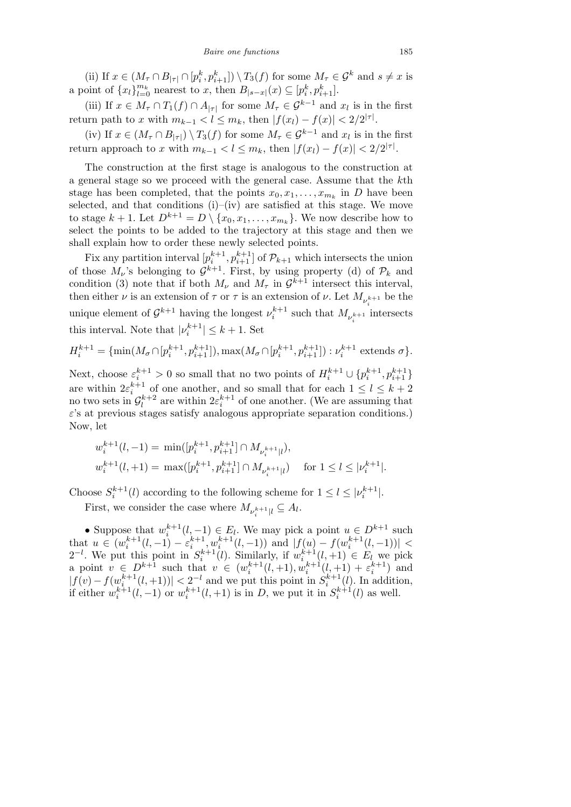(ii) If  $x \in (M_{\tau} \cap B_{|\tau|} \cap [p_i^k, p_{i+1}^k]) \setminus T_3(f)$  for some  $M_{\tau} \in \mathcal{G}^k$  and  $s \neq x$  is a point of  $\{x_l\}_{l=0}^{m_k}$  nearest to x, then  $B_{|s-x|}(x) \subseteq [p_i^k, p_{i+1}^k]$ .

(iii) If  $x \in M_\tau \cap T_1(f) \cap A_{|\tau|}$  for some  $M_\tau \in \mathcal{G}^{k-1}$  and  $x_l$  is in the first return path to *x* with  $m_{k-1} < l \le m_k$ , then  $|f(x_l) - f(x)| < 2/2^{|\tau|}$ .

(iv) If  $x \in (M_\tau \cap B_{|\tau|}) \setminus T_3(f)$  for some  $M_\tau \in \mathcal{G}^{k-1}$  and  $x_l$  is in the first return approach to *x* with  $m_{k-1} < l \leq m_k$ , then  $|f(x_l) - f(x)| < 2/2^{|\tau|}$ .

The construction at the first stage is analogous to the construction at a general stage so we proceed with the general case. Assume that the *k*th stage has been completed, that the points  $x_0, x_1, \ldots, x_{m_k}$  in *D* have been selected, and that conditions  $(i)$ – $(iv)$  are satisfied at this stage. We move to stage  $k + 1$ . Let  $D^{k+1} = D \setminus \{x_0, x_1, \ldots, x_{m_k}\}$ . We now describe how to select the points to be added to the trajectory at this stage and then we shall explain how to order these newly selected points.

Fix any partition interval  $[p_i^{k+1}, p_{i+1}^{k+1}]$  of  $\mathcal{P}_{k+1}$  which intersects the union of those  $M_{\nu}$ 's belonging to  $\mathcal{G}^{k+1}$ . First, by using property (d) of  $\mathcal{P}_k$  and condition (3) note that if both  $M_{\nu}$  and  $M_{\tau}$  in  $\mathcal{G}^{k+1}$  intersect this interval, then either *ν* is an extension of  $\tau$  or  $\tau$  is an extension of *ν*. Let  $M_{\nu_{\tau}^{k+1}}$  be the unique element of  $\mathcal{G}^{k+1}$  having the longest  $\nu_i^{k+1}$  such that  $M_{\nu_i^{k+1}}$  intersects this interval. Note that  $|\nu_i^{k+1}| \leq k+1$ . Set

$$
H_i^{k+1} = \{ \min(M_\sigma \cap [p_i^{k+1}, p_{i+1}^{k+1}]), \max(M_\sigma \cap [p_i^{k+1}, p_{i+1}^{k+1}]): \nu_i^{k+1} \text{ extends } \sigma \}.
$$

Next, choose  $\varepsilon_i^{k+1} > 0$  so small that no two points of  $H_i^{k+1} \cup \{p_i^{k+1}, p_{i+1}^{k+1}\}\$ are within  $2\varepsilon_i^{k+1}$  of one another, and so small that for each  $1 \leq l \leq k+2$ no two sets in  $\mathcal{G}_l^{k+2}$  are within  $2\varepsilon_i^{k+1}$  of one another. (We are assuming that *ε*'s at previous stages satisfy analogous appropriate separation conditions.) Now, let

$$
\begin{aligned} & w_i^{k+1}(l,-1) = \ \min([p_i^{k+1},p_{i+1}^{k+1}] \cap M_{\nu_i^{k+1}|l}), \\ & w_i^{k+1}(l,+1) = \ \max([p_i^{k+1},p_{i+1}^{k+1}] \cap M_{\nu_i^{k+1}|l}) \quad \text{ for } 1 \leq l \leq |\nu_i^{k+1}|. \end{aligned}
$$

Choose  $S_i^{k+1}(l)$  according to the following scheme for  $1 \leq l \leq |\nu_i^{k+1}|$ .

First, we consider the case where  $M_{\nu_i^{k+1}|l} \subseteq A_l$ .

• Suppose that  $w_i^{k+1}(l, -1) \in E_l$ . We may pick a point  $u \in D^{k+1}$  such that  $u \in (w_i^{k+1}(l,-1) - \varepsilon_i^{k+1}, w_i^{k+1}(l,-1))$  and  $|f(u) - f(w_i^{k+1}(l,-1))|$  $2^{-l}$ . We put this point in  $S_i^{k+1}(l)$ . Similarly, if  $w_i^{k+1}(l, +1) \in E_l$  we pick a point  $v \in D^{k+1}$  such that  $v \in (w_i^{k+1}(l, +1), w_i^{k+1}(l, +1) + \varepsilon_i^{k+1})$  and  $|f(v) - f(w_i^{k+1}(l, +1))| < 2^{-l}$  and we put this point in  $S_i^{k+1}(l)$ . In addition, if either  $w_i^{k+1}(l,-1)$  or  $w_i^{k+1}(l,+1)$  is in *D*, we put it in  $S_i^{k+1}(l)$  as well.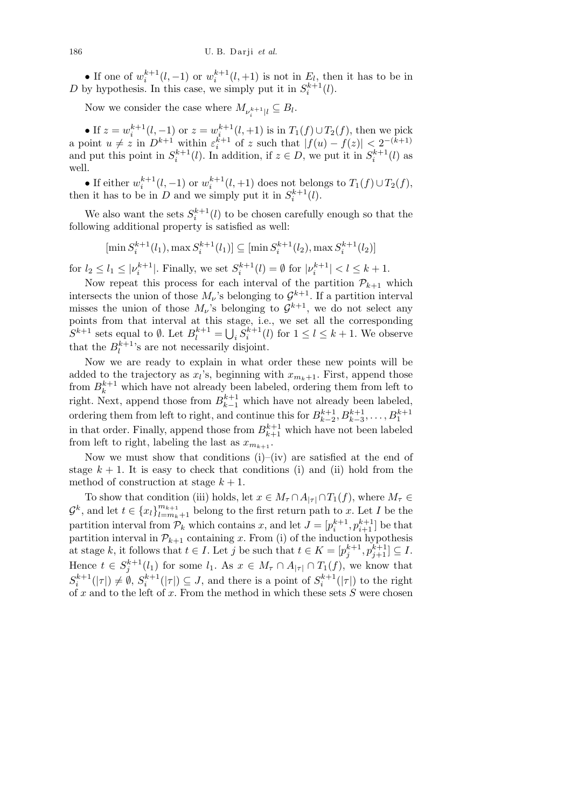• If one of  $w_i^{k+1}(l, -1)$  or  $w_i^{k+1}(l, +1)$  is not in  $E_l$ , then it has to be in *D* by hypothesis. In this case, we simply put it in  $S_i^{k+1}(l)$ .

Now we consider the case where  $M_{\nu_i^{k+1}|l} \subseteq B_l$ .

• If  $z = w_i^{k+1}(l, -1)$  or  $z = w_{i}^{k+1}(l, +1)$  is in  $T_1(f) \cup T_2(f)$ , then we pick a point  $u \neq z$  in  $D^{k+1}$  within  $\varepsilon_i^{k+1}$  of  $z$  such that  $|f(u) - f(z)| < 2^{-(k+1)}$ and put this point in  $S_i^{k+1}(l)$ . In addition, if  $z \in D$ , we put it in  $S_i^{k+1}(l)$  as well.

• If either  $w_i^{k+1}(l, -1)$  or  $w_i^{k+1}(l, +1)$  does not belongs to  $T_1(f) \cup T_2(f)$ , then it has to be in *D* and we simply put it in  $S_i^{k+1}(l)$ .

We also want the sets  $S_i^{k+1}(l)$  to be chosen carefully enough so that the following additional property is satisfied as well:

$$
[\min S_i^{k+1}(l_1), \max S_i^{k+1}(l_1)] \subseteq [\min S_i^{k+1}(l_2), \max S_i^{k+1}(l_2)]
$$

for  $l_2 \le l_1 \le |\nu_i^{k+1}|$ . Finally, we set  $S_i^{k+1}(l) = \emptyset$  for  $|\nu_i^{k+1}| < l \le k+1$ .

Now repeat this process for each interval of the partition  $\mathcal{P}_{k+1}$  which intersects the union of those  $M_{\nu}$ 's belonging to  $\mathcal{G}^{k+1}$ . If a partition interval misses the union of those  $M_{\nu}$ 's belonging to  $\mathcal{G}^{k+1}$ , we do not select any points from that interval at this stage, i.e., we set all the corresponding  $S^{k+1}$  sets equal to  $\emptyset$ . Let  $B_l^{k+1} =$  $\frac{51}{1}$  $i \overline{S_i^{k+1}(l)}$  for  $1 \leq l \leq k+1$ . We observe that the  $B_l^{k+1}$ 's are not necessarily disjoint.

Now we are ready to explain in what order these new points will be added to the trajectory as  $x_l$ 's, beginning with  $x_{m_k+1}$ . First, append those from  $B_k^{k+1}$  which have not already been labeled, ordering them from left to right. Next, append those from  $B_{k-1}^{k+1}$  which have not already been labeled, ordering them from left to right, and continue this for  $B_{k-2}^{k+1}, B_{k-3}^{k+1}, \ldots, B_1^{k+1}$ in that order. Finally, append those from  $B_{k+1}^{k+1}$  which have not been labeled from left to right, labeling the last as  $x_{m_{k+1}}$ .

Now we must show that conditions  $(i)$ – $(iv)$  are satisfied at the end of stage  $k + 1$ . It is easy to check that conditions (i) and (ii) hold from the method of construction at stage  $k + 1$ .

To show that condition (iii) holds, let  $x \in M_{\tau} \cap A_{|\tau|} \cap T_1(f)$ , where  $M_{\tau} \in$  $G^k$ , and let  $t \in \{x_l\}_{l=m_k+1}^{m_{k+1}}$  belong to the first return path to *x*. Let *I* be the partition interval from  $\mathcal{P}_k$  which contains *x*, and let  $J = [p_i^{k+1}, p_{i+1}^{k+1}]$  be that partition interval in  $\mathcal{P}_{k+1}$  containing *x*. From (i) of the induction hypothesis at stage *k*, it follows that  $t \in I$ . Let *j* be such that  $t \in K = [p_j^{k+1}, p_{j+1}^{k+1}] \subseteq I$ . Hence  $t \in S_j^{k+1}(l_1)$  for some  $l_1$ . As  $x \in M_{\tau} \cap A_{|\tau|} \cap T_1(f)$ , we know that  $S_i^{k+1}(|\tau|) \neq \emptyset$ ,  $S_i^{k+1}(|\tau|) \subseteq J$ , and there is a point of  $S_i^{k+1}(|\tau|)$  to the right of *x* and to the left of *x*. From the method in which these sets *S* were chosen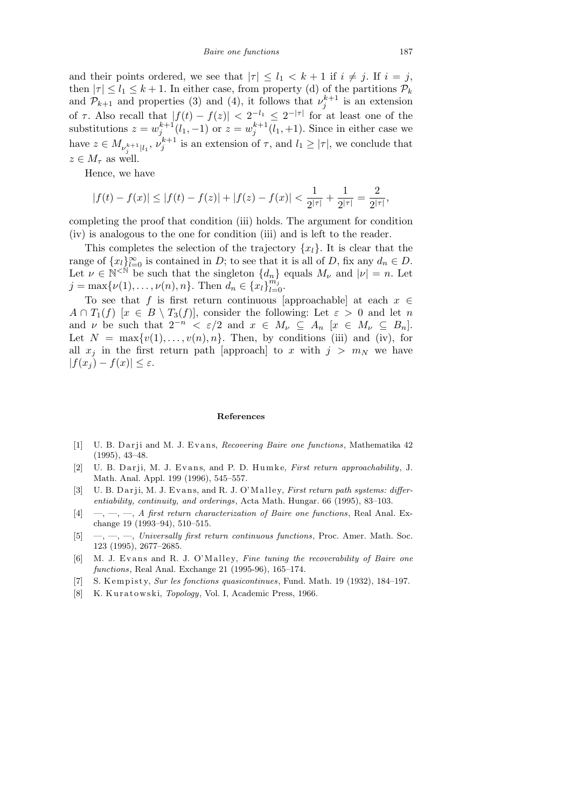and their points ordered, we see that  $|\tau| \leq l_1 < k+1$  if  $i \neq j$ . If  $i = j$ , then  $|\tau| \leq l_1 \leq k+1$ . In either case, from property (d) of the partitions  $\mathcal{P}_k$ and  $\mathcal{P}_{k+1}$  and properties (3) and (4), it follows that  $\nu_j^{k+1}$  is an extension of  $\tau$ . Also recall that  $|f(t) - f(z)| < 2^{-l_1} \leq 2^{-|\tau|}$  for at least one of the substitutions  $z = w_j^{k+1}(l_1, -1)$  or  $z = w_j^{k+1}(l_1, +1)$ . Since in either case we have  $z \in M_{\nu_j^{k+1}|l_1}, \nu_j^{k+1}$  is an extension of  $\tau$ , and  $l_1 \geq |\tau|$ , we conclude that  $z \in M_\tau$  as well.

Hence, we have

$$
|f(t)-f(x)|\leq |f(t)-f(z)|+|f(z)-f(x)|<\frac{1}{2^{|\tau|}}+\frac{1}{2^{|\tau|}}=\frac{2}{2^{|\tau|}},
$$

completing the proof that condition (iii) holds. The argument for condition (iv) is analogous to the one for condition (iii) and is left to the reader.

This completes the selection of the trajectory  $\{x_l\}$ . It is clear that the range of  $\{x_l\}_{l=0}^{\infty}$  is contained in *D*; to see that it is all of *D*, fix any  $d_n \in D$ . Let  $\nu \in \mathbb{N}^{\leq \mathbb{N}}$  be such that the singleton  $\{d_n\}$  equals  $M_{\nu}$  and  $|\nu| = n$ . Let  $j = \max\{\nu(1), \ldots, \nu(n), n\}$ . Then  $\ddot{d}_n \in \{x_l\}_{l=0}^{m_j}$ .

To see that *f* is first return continuous [approachable] at each *x ∈*  $A \cap T_1(f)$  [ $x \in B \setminus T_3(f)$ ], consider the following: Let  $\varepsilon > 0$  and let *n* and *ν* be such that  $2^{-n} < \varepsilon/2$  and  $x \in M_{\nu} \subseteq A_n$  [ $x \in M_{\nu} \subseteq B_n$ ]. Let  $N = \max\{v(1), \ldots, v(n), n\}$ . Then, by conditions (iii) and (iv), for all  $x_j$  in the first return path [approach] to *x* with  $j > m_N$  we have  $|f(x_i) - f(x)| \leq \varepsilon$ .

## **References**

- [1] U. B. Darji and M. J. Evans, *Recovering Baire one functions*, Mathematika 42 (1995), 43–48.
- [2] U. B. Darji, M. J. Evans, and P. D. Humke, *First return approachability*, J. Math. Anal. Appl. 199 (1996), 545–557.
- [3] U. B. Darji, M. J. Evans, and R. J. O'Malley, *First return path systems: differentiability, continuity, and orderings*, Acta Math. Hungar. 66 (1995), 83–103.
- [4] —, —, —, *A first return characterization of Baire one functions*, Real Anal. Exchange 19 (1993–94), 510–515.
- [5] —, —, —, *Universally first return continuous functions*, Proc. Amer. Math. Soc. 123 (1995), 2677–2685.
- [6] M. J. Evans and R. J. O'Malley, *Fine tuning the recoverability of Baire one functions*, Real Anal. Exchange 21 (1995-96), 165–174.
- [7] S. Kempisty, *Sur les fonctions quasicontinues*, Fund. Math. 19 (1932), 184–197.
- [8] K. Kuratowski, *Topology*, Vol. I, Academic Press, 1966.